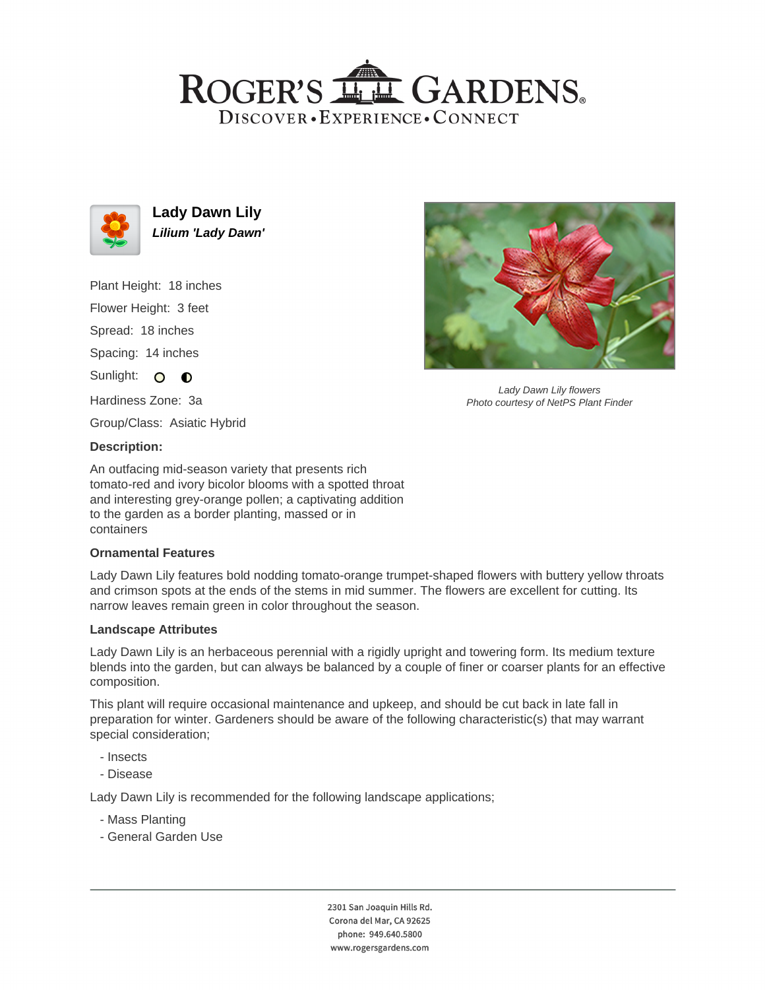# ROGER'S LL GARDENS. DISCOVER · EXPERIENCE · CONNECT



**Lady Dawn Lily Lilium 'Lady Dawn'**

Plant Height: 18 inches

Flower Height: 3 feet

Spread: 18 inches

Spacing: 14 inches

Sunlight: O **O** 

Hardiness Zone: 3a

Group/Class: Asiatic Hybrid

### **Description:**

An outfacing mid-season variety that presents rich tomato-red and ivory bicolor blooms with a spotted throat and interesting grey-orange pollen; a captivating addition to the garden as a border planting, massed or in containers

### **Ornamental Features**

Lady Dawn Lily features bold nodding tomato-orange trumpet-shaped flowers with buttery yellow throats and crimson spots at the ends of the stems in mid summer. The flowers are excellent for cutting. Its narrow leaves remain green in color throughout the season.

### **Landscape Attributes**

Lady Dawn Lily is an herbaceous perennial with a rigidly upright and towering form. Its medium texture blends into the garden, but can always be balanced by a couple of finer or coarser plants for an effective composition.

This plant will require occasional maintenance and upkeep, and should be cut back in late fall in preparation for winter. Gardeners should be aware of the following characteristic(s) that may warrant special consideration;

- Insects
- Disease

Lady Dawn Lily is recommended for the following landscape applications;

- Mass Planting
- General Garden Use



Lady Dawn Lily flowers Photo courtesy of NetPS Plant Finder

2301 San Joaquin Hills Rd. Corona del Mar, CA 92625 phone: 949.640.5800 www.rogersgardens.com